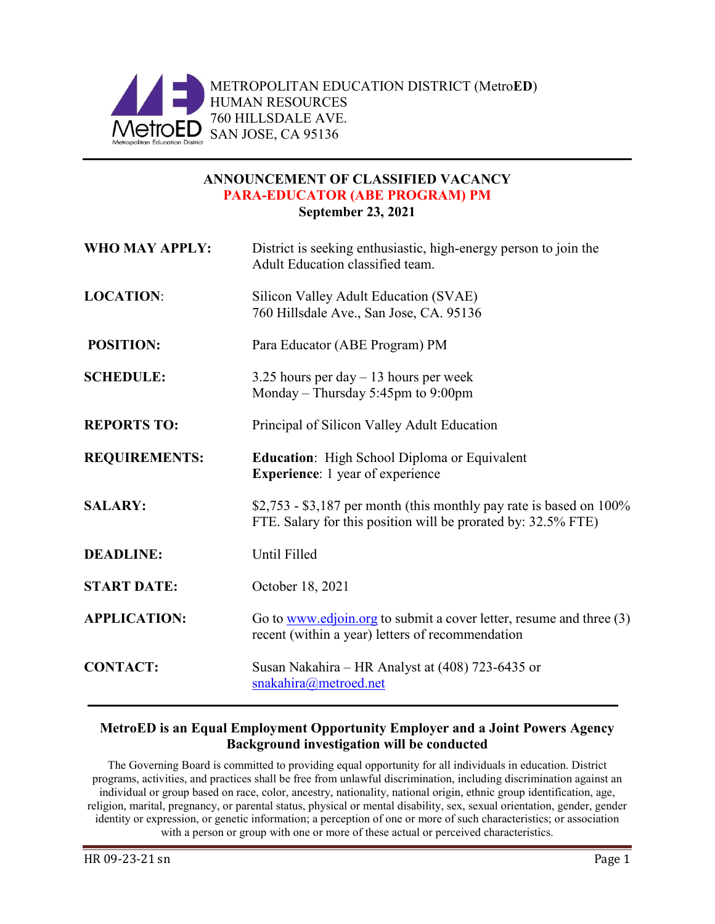

## **ANNOUNCEMENT OF CLASSIFIED VACANCY PARA-EDUCATOR (ABE PROGRAM) PM September 23, 2021**

| WHO MAY APPLY:       | District is seeking enthusiastic, high-energy person to join the<br>Adult Education classified team.                                  |  |
|----------------------|---------------------------------------------------------------------------------------------------------------------------------------|--|
| <b>LOCATION:</b>     | Silicon Valley Adult Education (SVAE)<br>760 Hillsdale Ave., San Jose, CA. 95136                                                      |  |
| <b>POSITION:</b>     | Para Educator (ABE Program) PM                                                                                                        |  |
| <b>SCHEDULE:</b>     | 3.25 hours per day $-13$ hours per week<br>Monday – Thursday 5:45pm to 9:00pm                                                         |  |
| <b>REPORTS TO:</b>   | Principal of Silicon Valley Adult Education                                                                                           |  |
| <b>REQUIREMENTS:</b> | <b>Education:</b> High School Diploma or Equivalent<br><b>Experience:</b> 1 year of experience                                        |  |
| <b>SALARY:</b>       | $$2,753 - $3,187$ per month (this monthly pay rate is based on 100%)<br>FTE. Salary for this position will be prorated by: 32.5% FTE) |  |
| <b>DEADLINE:</b>     | Until Filled                                                                                                                          |  |
| <b>START DATE:</b>   | October 18, 2021                                                                                                                      |  |
| <b>APPLICATION:</b>  | Go to www.edjoin.org to submit a cover letter, resume and three $(3)$<br>recent (within a year) letters of recommendation             |  |
| <b>CONTACT:</b>      | Susan Nakahira – HR Analyst at (408) 723-6435 or<br>snakahira@metroed.net                                                             |  |

## **MetroED is an Equal Employment Opportunity Employer and a Joint Powers Agency Background investigation will be conducted**

The Governing Board is committed to providing equal opportunity for all individuals in education. District programs, activities, and practices shall be free from unlawful discrimination, including discrimination against an individual or group based on race, color, ancestry, nationality, national origin, ethnic group identification, age, religion, marital, pregnancy, or parental status, physical or mental disability, sex, sexual orientation, gender, gender identity or expression, or genetic information; a perception of one or more of such characteristics; or association with a person or group with one or more of these actual or perceived characteristics.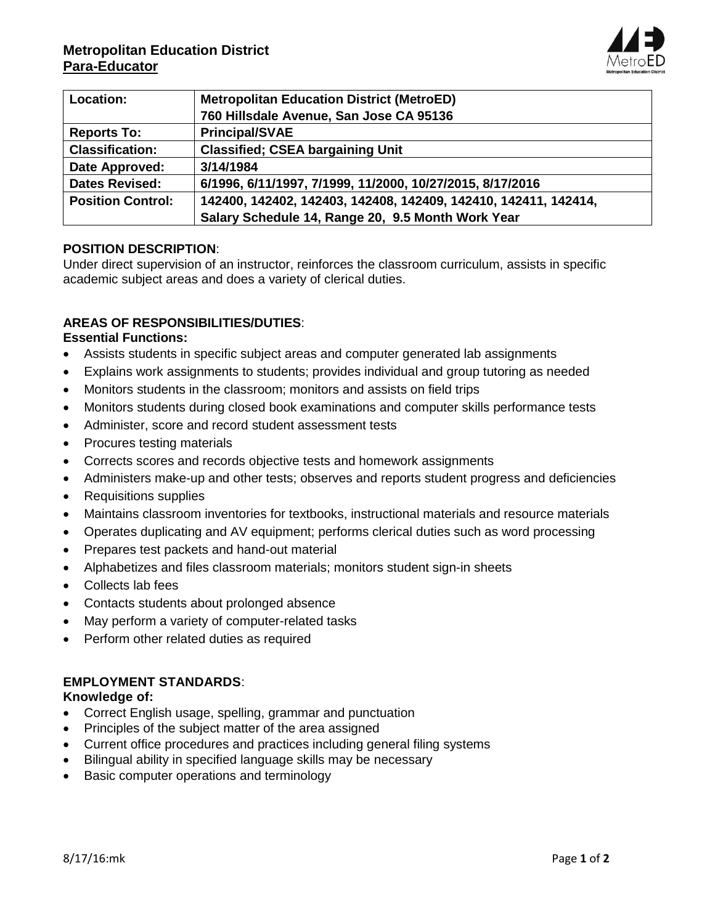

| Location:                | <b>Metropolitan Education District (MetroED)</b>                |
|--------------------------|-----------------------------------------------------------------|
|                          | 760 Hillsdale Avenue, San Jose CA 95136                         |
| <b>Reports To:</b>       | <b>Principal/SVAE</b>                                           |
| <b>Classification:</b>   | <b>Classified; CSEA bargaining Unit</b>                         |
| Date Approved:           | 3/14/1984                                                       |
| <b>Dates Revised:</b>    | 6/1996, 6/11/1997, 7/1999, 11/2000, 10/27/2015, 8/17/2016       |
| <b>Position Control:</b> | 142400, 142402, 142403, 142408, 142409, 142410, 142411, 142414, |
|                          | Salary Schedule 14, Range 20, 9.5 Month Work Year               |

### **POSITION DESCRIPTION**:

Under direct supervision of an instructor, reinforces the classroom curriculum, assists in specific academic subject areas and does a variety of clerical duties.

## **AREAS OF RESPONSIBILITIES/DUTIES**:

### **Essential Functions:**

- Assists students in specific subject areas and computer generated lab assignments
- Explains work assignments to students; provides individual and group tutoring as needed
- Monitors students in the classroom; monitors and assists on field trips
- Monitors students during closed book examinations and computer skills performance tests
- Administer, score and record student assessment tests
- Procures testing materials
- Corrects scores and records objective tests and homework assignments
- Administers make-up and other tests; observes and reports student progress and deficiencies
- Requisitions supplies
- Maintains classroom inventories for textbooks, instructional materials and resource materials
- Operates duplicating and AV equipment; performs clerical duties such as word processing
- Prepares test packets and hand-out material
- Alphabetizes and files classroom materials; monitors student sign-in sheets
- Collects lab fees
- Contacts students about prolonged absence
- May perform a variety of computer-related tasks
- Perform other related duties as required

### **EMPLOYMENT STANDARDS**:

### **Knowledge of:**

- Correct English usage, spelling, grammar and punctuation
- Principles of the subject matter of the area assigned
- Current office procedures and practices including general filing systems
- Bilingual ability in specified language skills may be necessary
- Basic computer operations and terminology